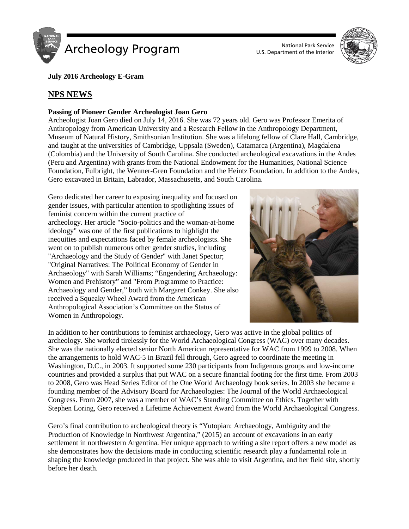

U.S. Department of the Interior



**July 2016 Archeology E-Gram**

# **NPS NEWS**

## **Passing of Pioneer Gender Archeologist Joan Gero**

Archeologist Joan Gero died on July 14, 2016. She was 72 years old. Gero was Professor Emerita of Anthropology from American University and a Research Fellow in the Anthropology Department, Museum of Natural History, Smithsonian Institution. She was a lifelong fellow of Clare Hall, Cambridge, and taught at the universities of Cambridge, Uppsala (Sweden), Catamarca (Argentina), Magdalena (Colombia) and the University of South Carolina. She conducted archeological excavations in the Andes (Peru and Argentina) with grants from the National Endowment for the Humanities, National Science Foundation, Fulbright, the Wenner-Gren Foundation and the Heintz Foundation. In addition to the Andes, Gero excavated in Britain, Labrador, Massachusetts, and South Carolina.

Gero dedicated her career to exposing inequality and focused on gender issues, with particular attention to spotlighting issues of feminist concern within the current practice of archeology. Her article "Socio-politics and the woman-at-home ideology" was one of the first publications to highlight the inequities and expectations faced by female archeologists. She went on to publish numerous other gender studies, including "Archaeology and the Study of Gender" with Janet Spector; "Original Narratives: The Political Economy of Gender in Archaeology" with Sarah Williams; "Engendering Archaeology: Women and Prehistory" and "From Programme to Practice: Archaeology and Gender," both with Margaret Conkey. She also received a Squeaky Wheel Award from the American Anthropological Association's Committee on the Status of Women in Anthropology.



In addition to her contributions to feminist archaeology, Gero was active in the global politics of archeology. She worked tirelessly for the World Archaeological Congress (WAC) over many decades. She was the nationally elected senior North American representative for WAC from 1999 to 2008. When the arrangements to hold WAC-5 in Brazil fell through, Gero agreed to coordinate the meeting in Washington, D.C., in 2003. It supported some 230 participants from Indigenous groups and low-income countries and provided a surplus that put WAC on a secure financial footing for the first time. From 2003 to 2008, Gero was Head Series Editor of the One World Archaeology book series. In 2003 she became a founding member of the Advisory Board for Archaeologies: The Journal of the World Archaeological Congress. From 2007, she was a member of WAC's Standing Committee on Ethics. Together with Stephen Loring, Gero received a Lifetime Achievement Award from the World Archaeological Congress.

Gero's final contribution to archeological theory is "Yutopian: Archaeology, Ambiguity and the Production of Knowledge in Northwest Argentina," (2015) an account of excavations in an early settlement in northwestern Argentina. Her unique approach to writing a site report offers a new model as she demonstrates how the decisions made in conducting scientific research play a fundamental role in shaping the knowledge produced in that project. She was able to visit Argentina, and her field site, shortly before her death.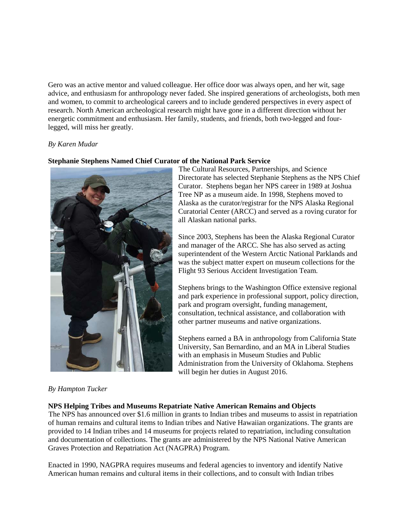Gero was an active mentor and valued colleague. Her office door was always open, and her wit, sage advice, and enthusiasm for anthropology never faded. She inspired generations of archeologists, both men and women, to commit to archeological careers and to include gendered perspectives in every aspect of research. North American archeological research might have gone in a different direction without her energetic commitment and enthusiasm. Her family, students, and friends, both two-legged and fourlegged, will miss her greatly.

## *By Karen Mudar*

#### **Stephanie Stephens Named Chief Curator of the National Park Service**



The Cultural Resources, Partnerships, and Science Directorate has selected Stephanie Stephens as the NPS Chief Curator. Stephens began her NPS career in 1989 at Joshua Tree NP as a museum aide. In 1998, Stephens moved to Alaska as the curator/registrar for the NPS Alaska Regional Curatorial Center (ARCC) and served as a roving curator for all Alaskan national parks.

Since 2003, Stephens has been the Alaska Regional Curator and manager of the ARCC. She has also served as acting superintendent of the Western Arctic National Parklands and was the subject matter expert on museum collections for the Flight 93 Serious Accident Investigation Team.

Stephens brings to the Washington Office extensive regional and park experience in professional support, policy direction, park and program oversight, funding management, consultation, technical assistance, and collaboration with other partner museums and native organizations.

Stephens earned a BA in anthropology from California State University, San Bernardino, and an MA in Liberal Studies with an emphasis in Museum Studies and Public Administration from the University of Oklahoma. Stephens will begin her duties in August 2016.

## *By Hampton Tucker*

#### **NPS Helping Tribes and Museums Repatriate Native American Remains and Objects**

The NPS has announced over \$1.6 million in grants to Indian tribes and museums to assist in repatriation of human remains and cultural items to Indian tribes and Native Hawaiian organizations. The grants are provided to 14 Indian tribes and 14 museums for projects related to repatriation, including consultation and documentation of collections. The grants are administered by the NPS National Native American Graves Protection and Repatriation Act (NAGPRA) Program.

Enacted in 1990, NAGPRA requires museums and federal agencies to inventory and identify Native American human remains and cultural items in their collections, and to consult with Indian tribes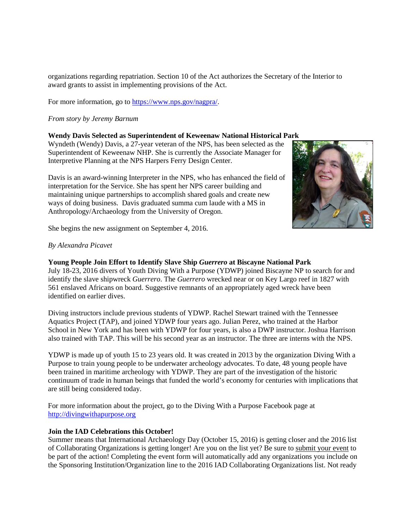organizations regarding repatriation. Section 10 of the Act authorizes the Secretary of the Interior to award grants to assist in implementing provisions of the Act.

For more information, go to [https://www.nps.gov/nagpra/.](https://www.nps.gov/nagpra/)

## *From story by Jeremy Barnum*

## **Wendy Davis Selected as Superintendent of Keweenaw National Historical Park**

Wyndeth (Wendy) Davis, a 27-year veteran of the NPS, has been selected as the Superintendent of Keweenaw NHP. She is currently the Associate Manager for Interpretive Planning at the NPS Harpers Ferry Design Center.

Davis is an award-winning Interpreter in the NPS, who has enhanced the field of interpretation for the Service. She has spent her NPS career building and maintaining unique partnerships to accomplish shared goals and create new ways of doing business. Davis graduated summa cum laude with a MS in Anthropology/Archaeology from the University of Oregon.



She begins the new assignment on September 4, 2016.

## *By Alexandra Picavet*

## **Young People Join Effort to Identify Slave Ship** *Guerrero* **at Biscayne National Park**

July 18-23, 2016 divers of Youth Diving With a Purpose (YDWP) joined Biscayne NP to search for and identify the slave shipwreck *Guerrero*. The *Guerrero* wrecked near or on Key Largo reef in 1827 with 561 enslaved Africans on board. Suggestive remnants of an appropriately aged wreck have been identified on earlier dives.

Diving instructors include previous students of YDWP. Rachel Stewart trained with the Tennessee Aquatics Project (TAP), and joined YDWP four years ago. Julian Perez, who trained at the Harbor School in New York and has been with YDWP for four years, is also a DWP instructor. Joshua Harrison also trained with TAP. This will be his second year as an instructor. The three are interns with the NPS.

YDWP is made up of youth 15 to 23 years old. It was created in 2013 by the organization Diving With a Purpose to train young people to be underwater archeology advocates. To date, 48 young people have been trained in maritime archeology with YDWP. They are part of the investigation of the historic continuum of trade in human beings that funded the world's economy for centuries with implications that are still being considered today.

For more information about the project, go to the Diving With a Purpose Facebook page at [http://divingwithapurpose.org](http://divingwithapurpose.org/)

## **Join the IAD Celebrations this October!**

Summer means that International Archaeology Day (October 15, 2016) is getting closer and the 2016 list of Collaborating Organizations is getting longer! Are you on the list yet? Be sure to [submit](http://archaeologyday.us10.list-manage.com/track/click?u=70748a0b808e91ad3966ff72b&id=c658130fe6&e=dd83f7e8cd) [your event](http://archaeologyday.us10.list-manage.com/track/click?u=70748a0b808e91ad3966ff72b&id=c658130fe6&e=dd83f7e8cd) to be part of the action! Completing the event form will automatically add any organizations you include on the Sponsoring Institution/Organization line to the 2016 IAD Collaborating Organizations list. Not ready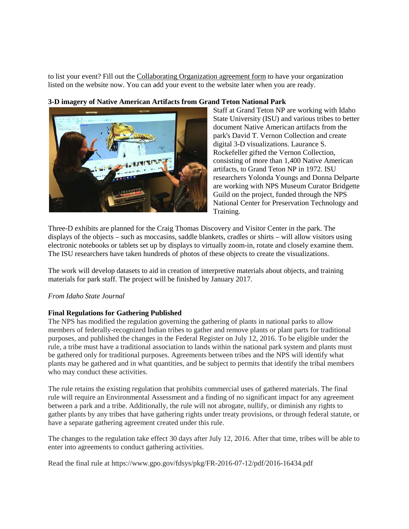to list your event? Fill out the [Collaborating Organization agreement form](http://archaeologyday.us10.list-manage.com/track/click?u=70748a0b808e91ad3966ff72b&id=57f4dc2104&e=dd83f7e8cd) to have your organization listed on the website now. You can add your event to the website later when you are ready.

## **3-D imagery of Native American Artifacts from Grand Teton National Park**



Staff at Grand Teton NP are working with Idaho State University (ISU) and various tribes to better document Native American artifacts from the park's David T. Vernon Collection and create digital 3-D visualizations. Laurance S. Rockefeller gifted the Vernon Collection, consisting of more than 1,400 Native American artifacts, to Grand Teton NP in 1972. ISU researchers Yolonda Youngs and Donna Delparte are working with NPS Museum Curator Bridgette Guild on the project, funded through the NPS National Center for Preservation Technology and Training.

Three-D exhibits are planned for the Craig Thomas Discovery and Visitor Center in the park. The displays of the objects – such as moccasins, saddle blankets, cradles or shirts – will allow visitors using electronic notebooks or tablets set up by displays to virtually zoom-in, rotate and closely examine them. The ISU researchers have taken hundreds of photos of these objects to create the visualizations.

The work will develop datasets to aid in creation of interpretive materials about objects, and training materials for park staff. The project will be finished by January 2017.

#### *From Idaho State Journal*

## **Final Regulations for Gathering Published**

The NPS has modified the regulation governing the gathering of plants in national parks to allow members of federally-recognized Indian tribes to gather and remove plants or plant parts for traditional purposes, and published the changes in the Federal Register on July 12, 2016. To be eligible under the rule, a tribe must have a traditional association to lands within the national park system and plants must be gathered only for traditional purposes. Agreements between tribes and the NPS will identify what plants may be gathered and in what quantities, and be subject to permits that identify the tribal members who may conduct these activities.

The rule retains the existing regulation that prohibits commercial uses of gathered materials. The final rule will require an Environmental Assessment and a finding of no significant impact for any agreement between a park and a tribe. Additionally, the rule will not abrogate, nullify, or diminish any rights to gather plants by any tribes that have gathering rights under treaty provisions, or through federal statute, or have a separate gathering agreement created under this rule.

The changes to the regulation take effect 30 days after July 12, 2016. After that time, tribes will be able to enter into agreements to conduct gathering activities.

Read the final rule at https://www.gpo.gov/fdsys/pkg/FR-2016-07-12/pdf/2016-16434.pdf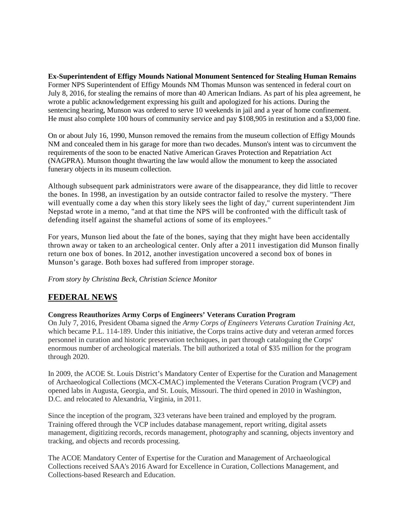**Ex-Superintendent of Effigy Mounds National Monument Sentenced for Stealing Human Remains** Former NPS Superintendent of Effigy Mounds NM Thomas Munson was sentenced in federal court on July 8, 2016, for stealing the remains of more than 40 American Indians. As part of his plea agreement, he wrote a public acknowledgement expressing his guilt and apologized for his actions. During the sentencing hearing, Munson was ordered to serve 10 weekends in jail and a year of home confinement. He must also complete 100 hours of community service and pay \$108,905 in restitution and a \$3,000 fine.

On or about July 16, 1990, Munson removed the remains from the museum collection of Effigy Mounds NM and concealed them in his garage for more than two decades. Munson's intent was to circumvent the requirements of the soon to be enacted Native American Graves Protection and Repatriation Act (NAGPRA). Munson thought thwarting the law would allow the monument to keep the associated funerary objects in its museum collection.

Although subsequent park administrators were aware of the disappearance, they did little to recover the bones. In 1998, an investigation by an outside contractor failed to resolve the mystery. "There will eventually come a day when this story likely sees the light of day," current superintendent Jim Nepstad wrote in a memo, "and at that time the NPS will be confronted with the difficult task of defending itself against the shameful actions of some of its employees."

For years, Munson lied about the fate of the bones, saying that they might have been accidentally thrown away or taken to an archeological center. Only after a 2011 investigation did Munson finally return one box of bones. In 2012, another investigation uncovered a second box of bones in Munson's garage. Both boxes had suffered from improper storage.

*From story by [Christina Beck,](http://www.csmonitor.com/USA/USA-Update/2016/0705/Report-Decades-of-cover-up-followed-Iowa-theft-of-native-American-bones) Christian Science Monitor*

# **FEDERAL NEWS**

**Congress Reauthorizes Army Corps of Engineers' Veterans Curation Program**

On July 7, 2016, President Obama signed the *Army Corps of Engineers Veterans Curation Training Act*, which became P.L. 114-189. Under this initiative, the Corps trains active duty and veteran armed forces personnel in curation and historic preservation techniques, in part through cataloguing the Corps' enormous number of archeological materials. The bill authorized a total of \$35 million for the program through 2020.

In 2009, the ACOE St. Louis District's Mandatory Center of Expertise for the Curation and Management of Archaeological Collections (MCX-CMAC) implemented the Veterans Curation Program (VCP) and opened labs in Augusta, Georgia, and St. Louis, Missouri. The third opened in 2010 in Washington, D.C. and relocated to Alexandria, Virginia, in 2011.

Since the inception of the program, 323 veterans have been trained and employed by the program. Training offered through the VCP includes database management, report writing, digital assets management, digitizing records, records management, photography and scanning, objects inventory and tracking, and objects and records processing.

The ACOE Mandatory Center of Expertise for the Curation and Management of Archaeological Collections received SAA's 2016 Award for Excellence in Curation, Collections Management, and Collections-based Research and Education.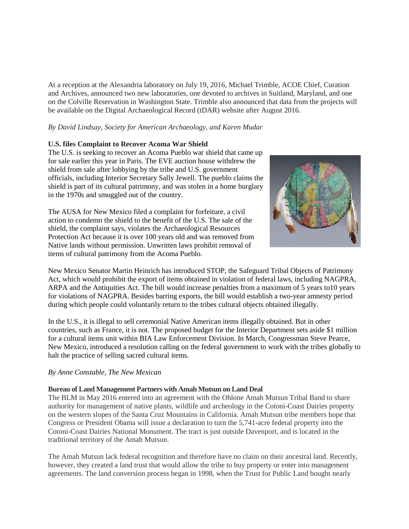At a reception at the Alexandria laboratory on July 19, 2016, Michael Trimble, ACOE Chief, Curation and Archives, announced two new laboratories, one devoted to archives in Suitland, Maryland, and one on the Colville Reservation in Washington State. Trimble also announced that data from the projects will be available on the Digital Archaeological Record (tDAR) website after August 2016.

## *By David Lindsay, Society for American Archaeology, and Karen Mudar*

### **U.S. files Complaint to Recover Acoma War Shield**

The U.S. is seeking to recover an Acoma Pueblo war shield that came up for sale earlier this year in Paris. The EVE auction house withdrew the shield from sale after lobbying by the tribe and U.S. government officials, including Interior Secretary Sally Jewell. The pueblo claims the shield is part of its cultural patrimony, and was stolen in a home burglary in the 1970s and smuggled out of the country.

The AUSA for New Mexico filed a complaint for forfeiture, a civil action to condemn the shield to the benefit of the U.S. The sale of the shield, the complaint says, violates the Archaeological Resources Protection Act because it is over 100 years old and was removed from Native lands without permission. Unwritten laws prohibit removal of items of cultural patrimony from the Acoma Pueblo.



New Mexico Senator Martin Heinrich has introduced STOP, the Safeguard Tribal Objects of Patrimony Act, which would prohibit the export of items obtained in violation of federal laws, including NAGPRA, ARPA and the Antiquities Act. The bill would increase penalties from a maximum of 5 years to10 years for violations of NAGPRA. Besides barring exports, the bill would establish a two-year amnesty period during which people could voluntarily return to the tribes cultural objects obtained illegally.

In the U.S., it is illegal to sell ceremonial Native American items illegally obtained. But in other countries, such as France, it is not. The proposed budget for the Interior Department sets aside \$1 million for a cultural items unit within BIA Law Enforcement Division. In March, Congressman Steve Pearce, New Mexico, introduced a resolution calling on the federal government to work with the tribes globally to halt the practice of selling sacred cultural items.

#### *By Anne Constable, The New Mexican*

#### **Bureau of Land Management Partners with Amah Mutsun on Land Deal**

The BLM in May 2016 entered into an agreement with the Ohlone Amah Mutsun Tribal Band to share authority for management of native plants, wildlife and archeology in the Cotoni-Coast Dairies property on the western slopes of the Santa Cruz Mountains in California. Amah Mutsun tribe members hope that Congress or President Obama will issue a declaration to turn the 5,741-acre federal property into the Cotoni-Coast Dairies National Monument. The tract is just outside Davenport, and is located in the traditional territory of the Amah Mutsun.

The Amah Mutsun lack federal recognition and therefore have no claim on their ancestral land. Recently, however, they created a land trust that would allow the tribe to buy property or enter into management agreements. The land conversion process began in 1998, when the Trust for Public Land bought nearly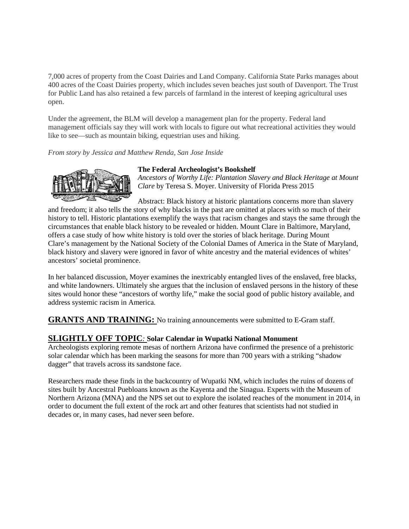7,000 acres of property from the Coast Dairies and Land Company. California State Parks manages about 400 acres of the Coast Dairies property, which includes seven beaches just south of Davenport. The Trust for Public Land has also retained a few parcels of farmland in the interest of keeping agricultural uses open.

Under the agreement, the BLM will develop a management plan for the property. Federal land management officials say they will work with locals to figure out what recreational activities they would like to see—such as mountain biking, equestrian uses and hiking.

## *From story by Jessica and Matthew Renda, San Jose Inside*



### **The Federal Archeologist's Bookshelf**

*Ancestors of Worthy Life: Plantation Slavery and Black Heritage at Mount Clare* by Teresa S. Moyer. University of Florida Press 2015

Abstract: Black history at historic plantations concerns more than slavery and freedom; it also tells the story of why blacks in the past are omitted at places with so much of their history to tell. Historic plantations exemplify the ways that racism changes and stays the same through the circumstances that enable black history to be revealed or hidden. Mount Clare in Baltimore, Maryland, offers a case study of how white history is told over the stories of black heritage. During Mount Clare's management by the National Society of the Colonial Dames of America in the State of Maryland, black history and slavery were ignored in favor of white ancestry and the material evidences of whites' ancestors' societal prominence.

In her balanced discussion, Moyer examines the inextricably entangled lives of the enslaved, free blacks, and white landowners. Ultimately she argues that the inclusion of enslaved persons in the history of these sites would honor these "ancestors of worthy life," make the social good of public history available, and address systemic racism in America.

**GRANTS AND TRAINING:** No training announcements were submitted to E-Gram staff.

## **SLIGHTLY OFF TOPIC***:* **Solar Calendar in Wupatki National Monument**

Archeologists exploring remote mesas of norther[n Arizona](http://westerndigs.org/category/arizona/) have confirmed the presence of a prehistoric solar calendar which has been marking the seasons for more than 700 years with a striking "shadow dagger" that travels across its sandstone face.

Researchers made these finds in the backcountry of [Wupatki NM,](https://www.nps.gov/wupa/index.htm) which includes the ruins of dozens of sites built by [Ancestral Puebloans](http://westerndigs.org/category/ancestral-pueblo/) known as the Kayenta and the Sinagua. Experts with the [Museum of](https://musnaz.org/)  [Northern Arizona](https://musnaz.org/) (MNA) and the NPS set out to explore the isolated reaches of the monument in 2014, in order to document the full extent of the [rock art](http://westerndigs.org/category/rock-art/) and other features that scientists had not studied in decades or, in many cases, had never seen before.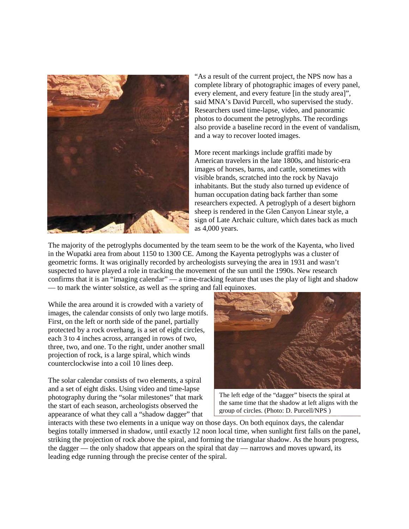

"As a result of the current project, the NPS now has a complete library of photographic images of every panel, every element, and every feature [in the study area]", said MNA's David Purcell, who supervised the study. Researchers used time-lapse, video, and panoramic photos to document the petroglyphs. The recordings also provide a baseline record in the event of vandalism, and a way to recover looted images.

More recent markings include graffiti made by American travelers in the late 1800s, and historic-era images of horses, barns, and cattle, sometimes with visible brands, scratched into the rock by Navajo inhabitants. But the study also turned up evidence of human occupation dating back farther than some researchers expected. A petroglyph of a desert bighorn sheep is rendered in the Glen Canyon Linear style, a sign of Late Archaic culture, which dates back as much as 4,000 years.

The majority of the petroglyphs documented by the team seem to be the work of the Kayenta, who lived in the Wupatki area from about 1150 to 1300 CE. Among the Kayenta petroglyphs was a cluster of geometric forms. It was originally recorded by archeologists surveying the area in 1931 and wasn't suspected to have played a role in tracking the movement of the sun until the 1990s. New research confirms that it is an "imaging calendar" — a time-tracking feature that uses the play of light and shadow — to mark the winter solstice, as well as the spring and fall equinoxes.

While the area around it is crowded with a variety of images, the calendar consists of only two large motifs. First, on the left or north side of the panel, partially protected by a rock overhang, is a set of eight circles, each 3 to 4 inches across, arranged in rows of two, three, two, and one. To the right, under another small projection of rock, is a large spiral, which winds counterclockwise into a coil 10 lines deep.

The solar calendar consists of two elements, a spiral and a set of eight disks. Using video and time-lapse photography during the "solar milestones" that mark the start of each season, archeologists observed the appearance of what they call a "shadow dagger" that



The left edge of the "dagger" bisects the spiral at the same time that the shadow at left aligns with the group of circles. (Photo: D. Purcell/NPS )

interacts with these two elements in a unique way on those days. On both equinox days, the calendar begins totally immersed in shadow, until exactly 12 noon local time, when sunlight first falls on the panel, striking the projection of rock above the spiral, and forming the triangular shadow. As the hours progress, the dagger — the only shadow that appears on the spiral that day — narrows and moves upward, its leading edge running through the precise center of the spiral.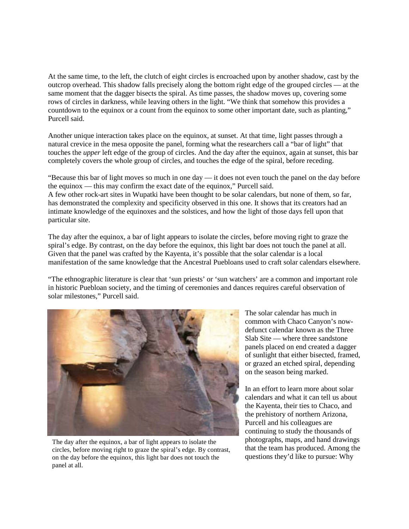At the same time, to the left, the clutch of eight circles is encroached upon by another shadow, cast by the outcrop overhead. This shadow falls precisely along the bottom right edge of the grouped circles — at the same moment that the dagger bisects the spiral. As time passes, the shadow moves up, covering some rows of circles in darkness, while leaving others in the light. "We think that somehow this provides a countdown to the equinox or a count from the equinox to some other important date, such as planting," Purcell said.

Another unique interaction takes place on the equinox, at sunset. At that time, light passes through a natural crevice in the mesa opposite the panel, forming what the researchers call a "bar of light" that touches the *upper* left edge of the group of circles. And the day after the equinox, again at sunset, this bar completely covers the whole group of circles, and touches the edge of the spiral, before receding.

"Because this bar of light moves so much in one day — it does not even touch the panel on the day before the equinox — this may confirm the exact date of the equinox," Purcell said. A few other rock-art sites in Wupatki have been thought to be solar calendars, but none of them, so far, has demonstrated the complexity and specificity observed in this one. It shows that its creators had an intimate knowledge of the equinoxes and the solstices, and how the light of those days fell upon that particular site.

The day after the equinox, a bar of light appears to isolate the circles, before moving right to graze the spiral's edge. By contrast, on the day before the equinox, this light bar does not touch the panel at all. Given that the panel was crafted by the Kayenta, it's possible that the solar calendar is a local manifestation of the same knowledge that the [Ancestral Puebloans](http://westerndigs.org/category/ancestral-pueblo/) used to craft solar calendars elsewhere.

"The ethnographic literature is clear that 'sun priests' or 'sun watchers' are a common and important role in historic Puebloan society, and the timing of ceremonies and dances requires careful observation of solar milestones," Purcell said.



The day after the equinox, a bar of light appears to isolate the circles, before moving right to graze the spiral's edge. By contrast, on the day before the equinox, this light bar does not touch the panel at all.

The solar calendar has much in common with [Chaco Canyon'](http://westerndigs.org/category/chaco-canyon-national-park/)s nowdefunct calendar known as the Three Slab Site — where three sandstone panels placed on end created a dagger of sunlight that either bisected, framed, or grazed an etched spiral, depending on the season being marked.

In an effort to learn more about solar calendars and what it can tell us about the Kayenta, their ties to [Chaco,](http://westerndigs.org/category/chaco-canyon-national-park/) and the prehistory of northern [Arizona,](http://westerndigs.org/category/arizona/) Purcell and his colleagues are continuing to study the thousands of photographs, maps, and hand drawings that the team has produced. Among the questions they'd like to pursue: Why